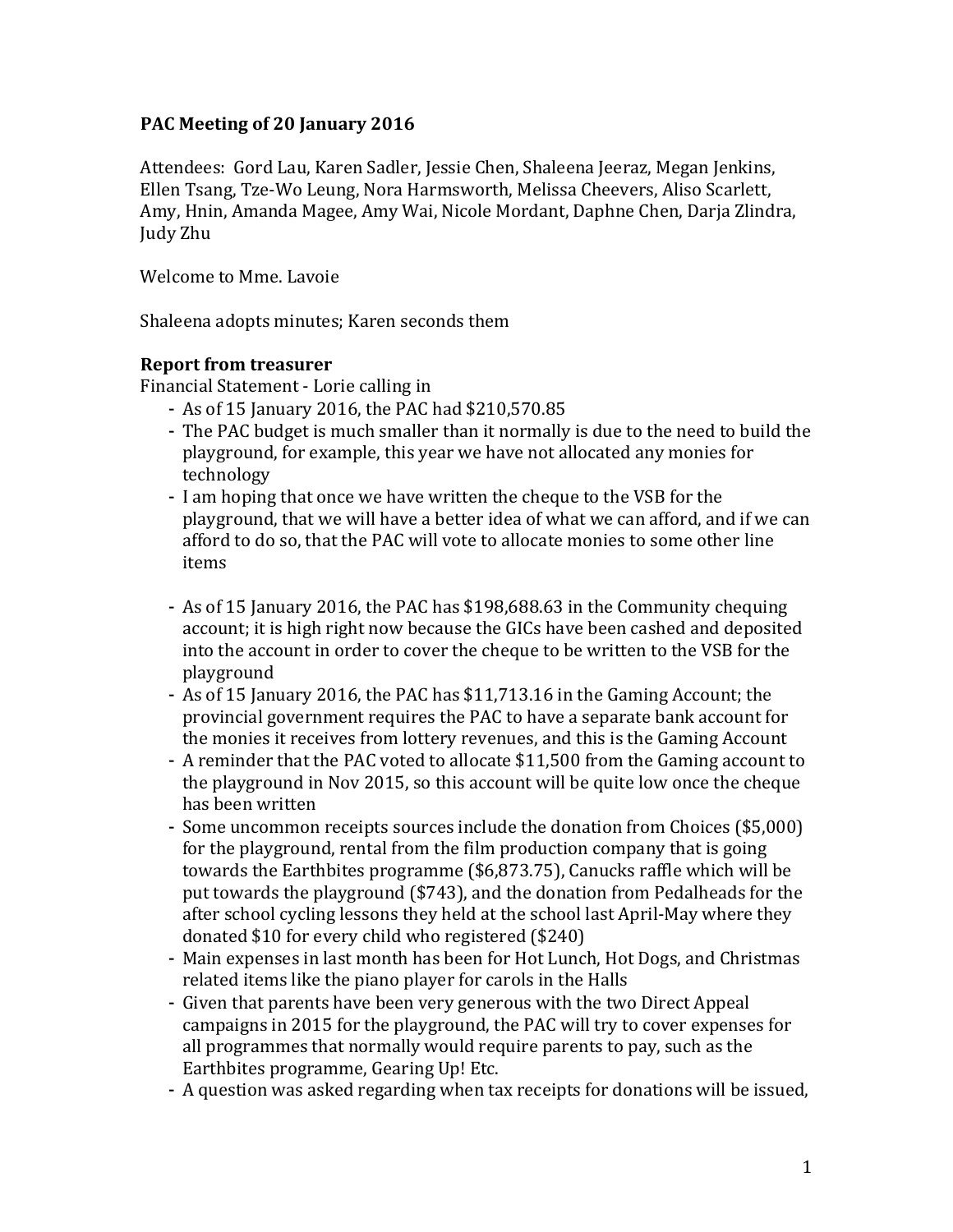### PAC Meeting of 20 January 2016

Attendees: Gord Lau, Karen Sadler, Jessie Chen, Shaleena Jeeraz, Megan Jenkins, Ellen Tsang, Tze-Wo Leung, Nora Harmsworth, Melissa Cheevers, Aliso Scarlett, Amy, Hnin, Amanda Magee, Amy Wai, Nicole Mordant, Daphne Chen, Darja Zlindra, Judy Zhu

Welcome to Mme. Lavoie

Shaleena adopts minutes; Karen seconds them

### **Report from treasurer**

Financial Statement - Lorie calling in

- As of 15 January 2016, the PAC had \$210,570.85
- The PAC budget is much smaller than it normally is due to the need to build the playground, for example, this year we have not allocated any monies for technology
- I am hoping that once we have written the cheque to the VSB for the playground, that we will have a better idea of what we can afford, and if we can afford to do so, that the PAC will vote to allocate monies to some other line items
- As of 15 January 2016, the PAC has \$198,688.63 in the Community chequing account; it is high right now because the GICs have been cashed and deposited into the account in order to cover the cheque to be written to the VSB for the playground
- As of 15 January 2016, the PAC has \$11,713.16 in the Gaming Account; the provincial government requires the PAC to have a separate bank account for the monies it receives from lottery revenues, and this is the Gaming Account
- A reminder that the PAC voted to allocate \$11,500 from the Gaming account to the playground in Nov 2015, so this account will be quite low once the cheque has been written
- Some uncommon receipts sources include the donation from Choices (\$5,000) for the playground, rental from the film production company that is going towards the Earthbites programme  $(\$6,873.75)$ , Canucks raffle which will be put towards the playground (\$743), and the donation from Pedalheads for the after school cycling lessons they held at the school last April-May where they donated  $$10$  for every child who registered  $$240$ )
- Main expenses in last month has been for Hot Lunch, Hot Dogs, and Christmas related items like the piano player for carols in the Halls
- Given that parents have been very generous with the two Direct Appeal campaigns in 2015 for the playground, the PAC will try to cover expenses for all programmes that normally would require parents to pay, such as the Earthbites programme, Gearing Up! Etc.
- A question was asked regarding when tax receipts for donations will be issued,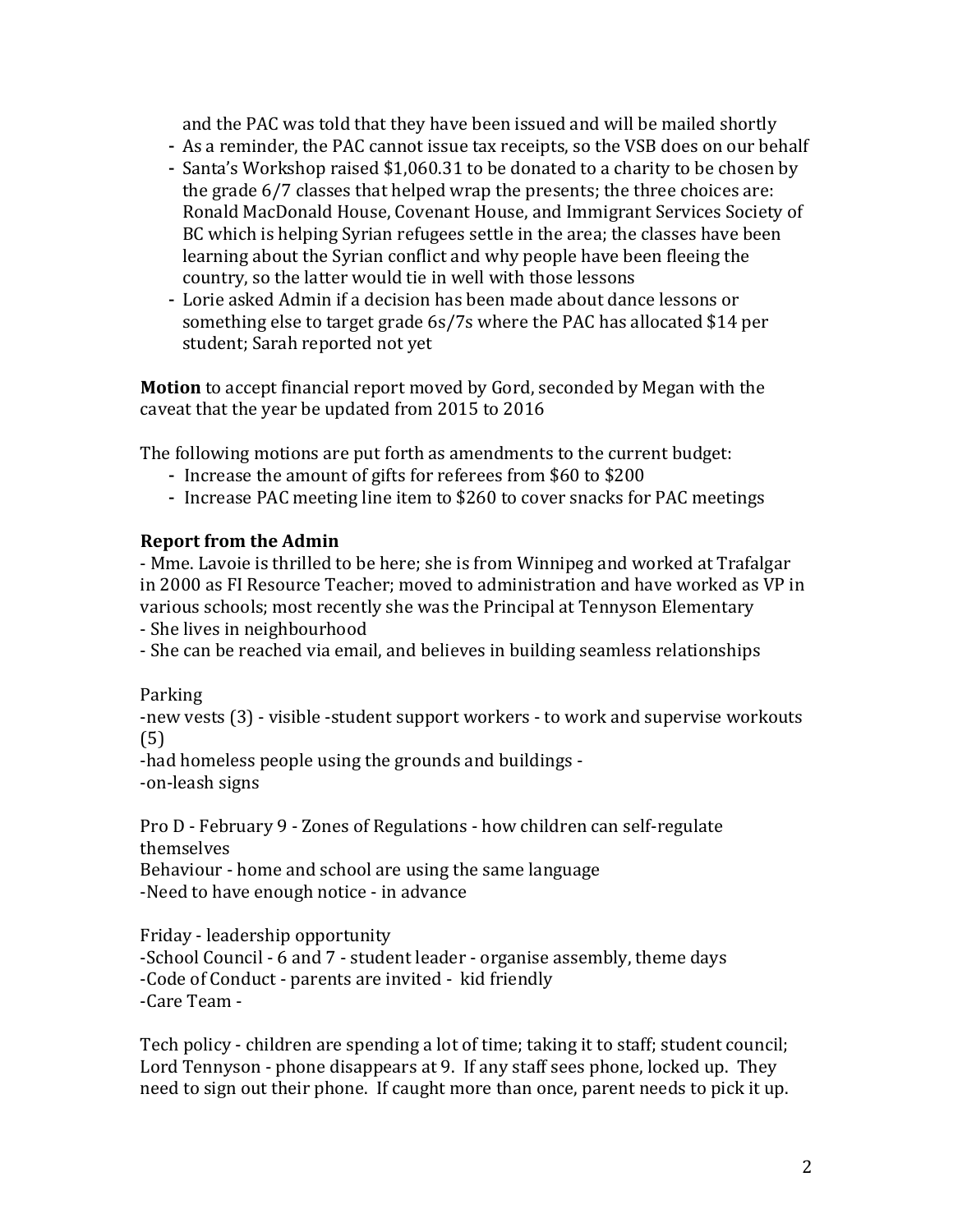and the PAC was told that they have been issued and will be mailed shortly

- As a reminder, the PAC cannot issue tax receipts, so the VSB does on our behalf
- Santa's Workshop raised \$1,060.31 to be donated to a charity to be chosen by the grade  $6/7$  classes that helped wrap the presents; the three choices are: Ronald MacDonald House, Covenant House, and Immigrant Services Society of BC which is helping Syrian refugees settle in the area; the classes have been learning about the Syrian conflict and why people have been fleeing the country, so the latter would tie in well with those lessons
- Lorie asked Admin if a decision has been made about dance lessons or something else to target grade 6s/7s where the PAC has allocated \$14 per student; Sarah reported not yet

**Motion** to accept financial report moved by Gord, seconded by Megan with the caveat that the year be updated from 2015 to 2016

The following motions are put forth as amendments to the current budget:

- Increase the amount of gifts for referees from \$60 to \$200
- Increase PAC meeting line item to \$260 to cover snacks for PAC meetings

## **Report from the Admin**

- Mme. Lavoie is thrilled to be here; she is from Winnipeg and worked at Trafalgar in 2000 as FI Resource Teacher; moved to administration and have worked as VP in various schools; most recently she was the Principal at Tennyson Elementary

- She lives in neighbourhood

- She can be reached via email, and believes in building seamless relationships

### Parking

-new vests (3) - visible -student support workers - to work and supervise workouts (5)

-had homeless people using the grounds and buildings --on-leash signs

Pro D - February 9 - Zones of Regulations - how children can self-regulate themselves Behaviour - home and school are using the same language

-Need to have enough notice - in advance

Friday - leadership opportunity -School Council - 6 and 7 - student leader - organise assembly, theme days -Code of Conduct - parents are invited - kid friendly -Care Team -

Tech policy - children are spending a lot of time; taking it to staff; student council; Lord Tennyson - phone disappears at 9. If any staff sees phone, locked up. They need to sign out their phone. If caught more than once, parent needs to pick it up.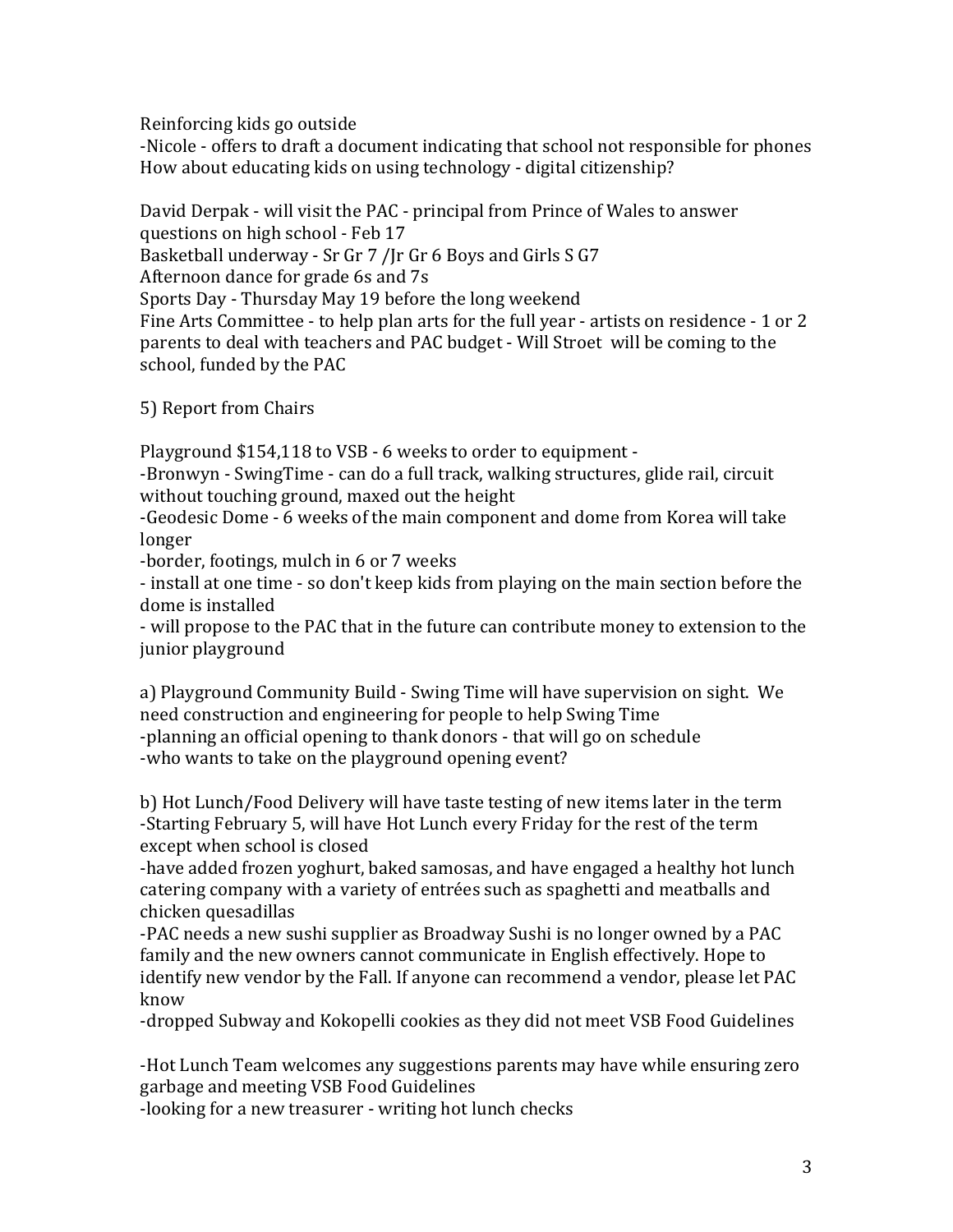Reinforcing kids go outside

-Nicole - offers to draft a document indicating that school not responsible for phones How about educating kids on using technology - digital citizenship?

David Derpak - will visit the PAC - principal from Prince of Wales to answer

questions on high school - Feb 17

Basketball underway - Sr Gr 7 /Jr Gr 6 Boys and Girls S G7

Afternoon dance for grade 6s and 7s

Sports Day - Thursday May 19 before the long weekend

Fine Arts Committee - to help plan arts for the full year - artists on residence - 1 or 2 parents to deal with teachers and PAC budget - Will Stroet will be coming to the school, funded by the PAC

5) Report from Chairs

Playground \$154,118 to VSB - 6 weeks to order to equipment -

-Bronwyn - SwingTime - can do a full track, walking structures, glide rail, circuit without touching ground, maxed out the height

-Geodesic Dome - 6 weeks of the main component and dome from Korea will take longer 

-border, footings, mulch in 6 or 7 weeks

- install at one time - so don't keep kids from playing on the main section before the dome is installed

- will propose to the PAC that in the future can contribute money to extension to the junior playground

a) Playground Community Build - Swing Time will have supervision on sight. We need construction and engineering for people to help Swing Time -planning an official opening to thank donors - that will go on schedule -who wants to take on the playground opening event?

b) Hot Lunch/Food Delivery will have taste testing of new items later in the term -Starting February 5, will have Hot Lunch every Friday for the rest of the term except when school is closed

-have added frozen yoghurt, baked samosas, and have engaged a healthy hot lunch catering company with a variety of entrées such as spaghetti and meatballs and chicken quesadillas

-PAC needs a new sushi supplier as Broadway Sushi is no longer owned by a PAC family and the new owners cannot communicate in English effectively. Hope to identify new vendor by the Fall. If anyone can recommend a vendor, please let PAC know

-dropped Subway and Kokopelli cookies as they did not meet VSB Food Guidelines

-Hot Lunch Team welcomes any suggestions parents may have while ensuring zero garbage and meeting VSB Food Guidelines

-looking for a new treasurer - writing hot lunch checks